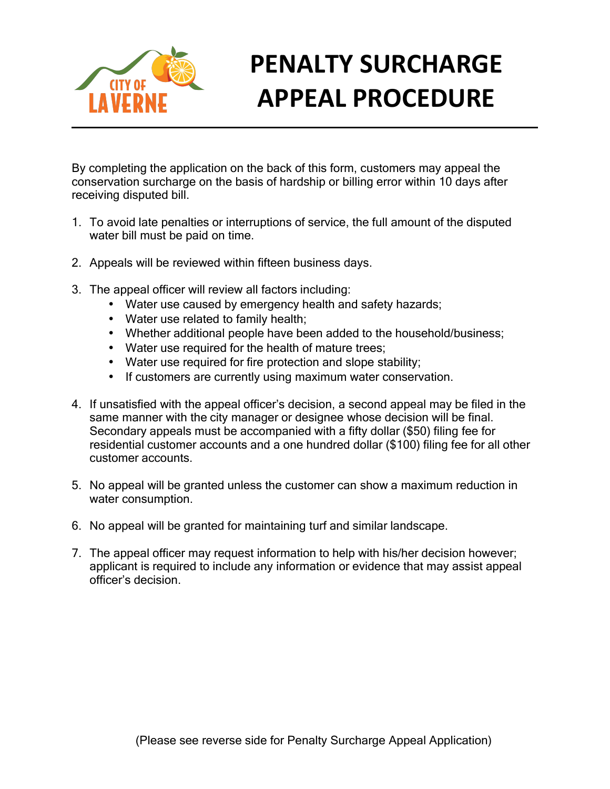

# **PENALTY SURCHARGE APPEAL PROCEDURE**

By completing the application on the back of this form, customers may appeal the conservation surcharge on the basis of hardship or billing error within 10 days after receiving disputed bill.

- 1. To avoid late penalties or interruptions of service, the full amount of the disputed water bill must be paid on time.
- 2. Appeals will be reviewed within fifteen business days.
- 3. The appeal officer will review all factors including:
	- Water use caused by emergency health and safety hazards;
	- Water use related to family health;
	- Whether additional people have been added to the household/business;
	- Water use required for the health of mature trees;
	- Water use required for fire protection and slope stability;
	- If customers are currently using maximum water conservation.
- 4. If unsatisfied with the appeal officer's decision, a second appeal may be filed in the same manner with the city manager or designee whose decision will be final. Secondary appeals must be accompanied with a fifty dollar (\$50) filing fee for residential customer accounts and a one hundred dollar (\$100) filing fee for all other customer accounts.
- 5. No appeal will be granted unless the customer can show a maximum reduction in water consumption.
- 6. No appeal will be granted for maintaining turf and similar landscape.
- 7. The appeal officer may request information to help with his/her decision however; applicant is required to include any information or evidence that may assist appeal officer's decision.